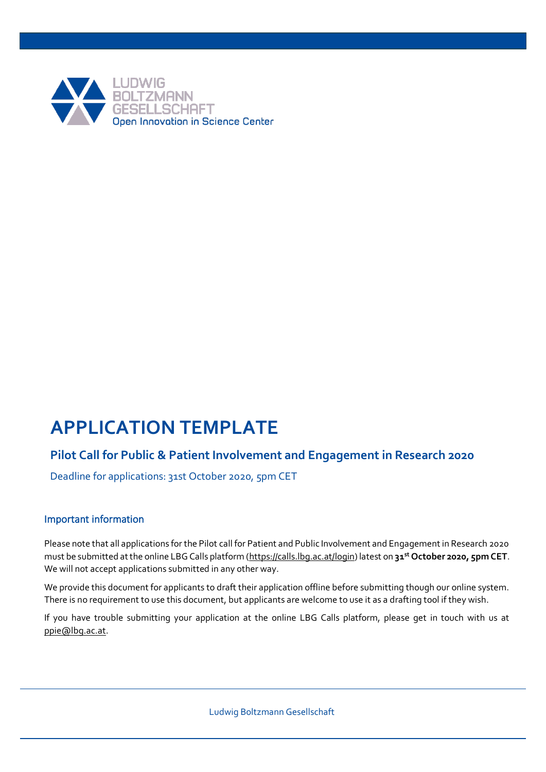

# **APPLICATION TEMPLATE**

# **Pilot Call for Public & Patient Involvement and Engagement in Research 2020**

Deadline for applications: 31st October 2020, 5pm CET

## Important information

Please note that all applications for the Pilot call for Patient and Public Involvement and Engagement in Research 2020 must be submitted at the online LBG Calls platform [\(https://calls.lbg.ac.at/login\)](https://calls.lbg.ac.at/login) latest on **31 st October 2020, 5pm CET**. We will not accept applications submitted in any other way.

We provide this document for applicants to draft their application offline before submitting though our online system. There is no requirement to use this document, but applicants are welcome to use it as a drafting tool if they wish.

If you have trouble submitting your application at the online LBG Calls platform, please get in touch with us at [ppie@lbg.ac.at.](mailto:ppie@lbg.ac.at)

Ludwig Boltzmann Gesellschaft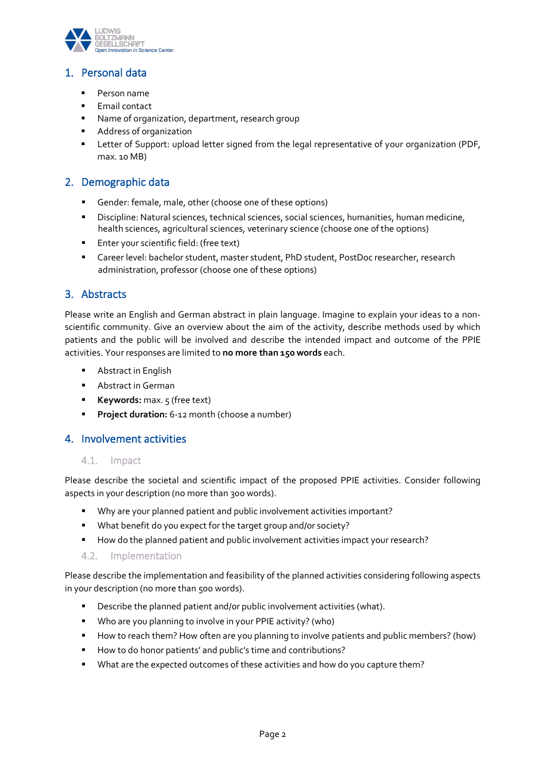

# 1. Personal data

- Person name
- Email contact
- Name of organization, department, research group
- Address of organization
- **EXECTER 1** Letter of Support: upload letter signed from the legal representative of your organization (PDF, max. 10 MB)

## 2. Demographic data

- Gender: female, male, other (choose one of these options)
- Discipline: Natural sciences, technical sciences, social sciences, humanities, human medicine, health sciences, agricultural sciences, veterinary science (choose one of the options)
- Enter your scientific field: (free text)
- Career level: bachelor student, master student, PhD student, PostDoc researcher, research administration, professor (choose one of these options)

## 3. Abstracts

Please write an English and German abstract in plain language. Imagine to explain your ideas to a nonscientific community. Give an overview about the aim of the activity, describe methods used by which patients and the public will be involved and describe the intended impact and outcome of the PPIE activities. Your responses are limited to **no more than 150 words** each.

- Abstract in English
- Abstract in German
- **Keywords:** max. 5 (free text)
- **Project duration:** 6-12 month (choose a number)

## 4. Involvement activities

#### 4.1. Impact

Please describe the societal and scientific impact of the proposed PPIE activities. Consider following aspects in your description (no more than 300 words).

- Why are your planned patient and public involvement activities important?
- What benefit do you expect for the target group and/or society?
- How do the planned patient and public involvement activities impact your research?

#### 4.2. Implementation

Please describe the implementation and feasibility of the planned activities considering following aspects in your description (no more than 500 words).

- Describe the planned patient and/or public involvement activities (what).
- Who are you planning to involve in your PPIE activity? (who)
- How to reach them? How often are you planning to involve patients and public members? (how)
- How to do honor patients' and public's time and contributions?
- What are the expected outcomes of these activities and how do you capture them?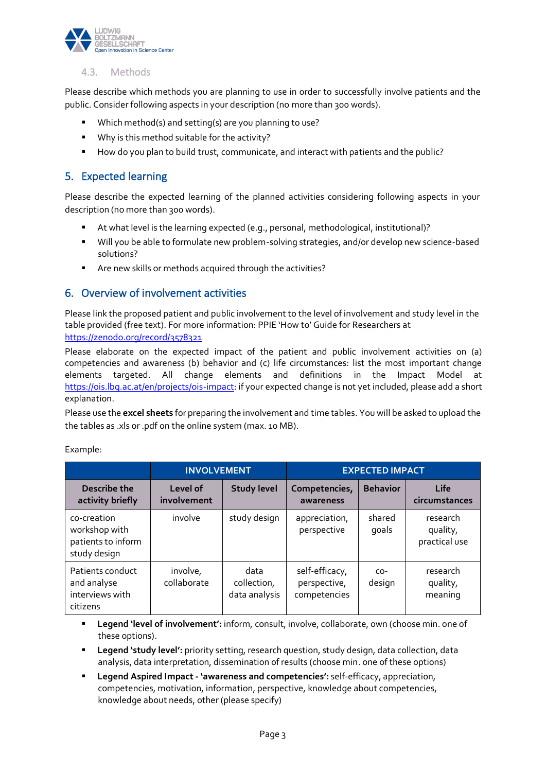

## 4.3. Methods

Please describe which methods you are planning to use in order to successfully involve patients and the public. Consider following aspects in your description (no more than 300 words).

- Which method(s) and setting(s) are you planning to use?
- Why is this method suitable for the activity?
- How do you plan to build trust, communicate, and interact with patients and the public?

## 5. Expected learning

Please describe the expected learning of the planned activities considering following aspects in your description (no more than 300 words).

- At what level is the learning expected (e.g., personal, methodological, institutional)?
- Will you be able to formulate new problem-solving strategies, and/or develop new science-based solutions?
- Are new skills or methods acquired through the activities?

## 6. Overview of involvement activities

Please link the proposed patient and public involvement to the level of involvement and study level in the table provided (free text). For more information: PPIE 'How to' Guide for Researchers at <https://zenodo.org/record/3578321>

Please elaborate on the expected impact of the patient and public involvement activities on (a) competencies and awareness (b) behavior and (c) life circumstances: list the most important change elements targeted. All change elements and definitions in the Impact Model at [https://ois.lbg.ac.at/en/projects/ois-impact:](https://ois.lbg.ac.at/en/projects/ois-impact) if your expected change is not yet included, please add a short explanation.

Please use the **excel sheets** for preparing the involvement and time tables. You will be asked to upload the the tables as .xls or .pdf on the online system (max. 10 MB).

Example:

|                                                                    | <b>INVOLVEMENT</b>      |                                      | <b>EXPECTED IMPACT</b>                         |                 |                                       |  |  |  |
|--------------------------------------------------------------------|-------------------------|--------------------------------------|------------------------------------------------|-----------------|---------------------------------------|--|--|--|
| Describe the<br>activity briefly                                   | Level of<br>involvement | <b>Study level</b>                   | Competencies,<br>awareness                     | <b>Behavior</b> | Life<br>circumstances                 |  |  |  |
| co-creation<br>workshop with<br>patients to inform<br>study design | involve                 | study design                         | appreciation,<br>perspective                   | shared<br>goals | research<br>quality,<br>practical use |  |  |  |
| Patients conduct<br>and analyse<br>interviews with<br>citizens     | involve,<br>collaborate | data<br>collection,<br>data analysis | self-efficacy,<br>perspective,<br>competencies | $CO-$<br>design | research<br>quality,<br>meaning       |  |  |  |

**Example 1 Legend 'level of involvement':** inform, consult, involve, collaborate, own (choose min. one of these options).

- **Legend 'study level':** priority setting, research question, study design, data collection, data analysis, data interpretation, dissemination of results (choose min. one of these options)
- **Legend Aspired Impact - 'awareness and competencies':** self-efficacy, appreciation, competencies, motivation, information, perspective, knowledge about competencies, knowledge about needs, other (please specify)